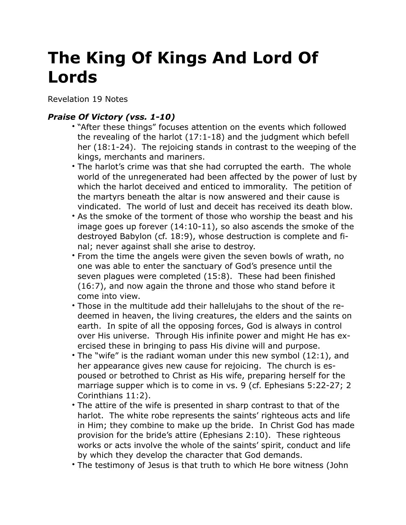## **The King Of Kings And Lord Of Lords**

Revelation 19 Notes

## *Praise Of Victory (vss. 1-10)*

- "After these things" focuses attention on the events which followed the revealing of the harlot (17:1-18) and the judgment which befell her (18:1-24). The rejoicing stands in contrast to the weeping of the kings, merchants and mariners.
- The harlot's crime was that she had corrupted the earth. The whole world of the unregenerated had been affected by the power of lust by which the harlot deceived and enticed to immorality. The petition of the martyrs beneath the altar is now answered and their cause is vindicated. The world of lust and deceit has received its death blow.
- As the smoke of the torment of those who worship the beast and his image goes up forever (14:10-11), so also ascends the smoke of the destroyed Babylon (cf. 18:9), whose destruction is complete and final; never against shall she arise to destroy.
- From the time the angels were given the seven bowls of wrath, no one was able to enter the sanctuary of God's presence until the seven plagues were completed (15:8). These had been finished (16:7), and now again the throne and those who stand before it come into view.
- Those in the multitude add their hallelujahs to the shout of the redeemed in heaven, the living creatures, the elders and the saints on earth. In spite of all the opposing forces, God is always in control over His universe. Through His infinite power and might He has exercised these in bringing to pass His divine will and purpose.
- The "wife" is the radiant woman under this new symbol (12:1), and her appearance gives new cause for rejoicing. The church is espoused or betrothed to Christ as His wife, preparing herself for the marriage supper which is to come in vs. 9 (cf. Ephesians 5:22-27; 2 Corinthians 11:2).
- The attire of the wife is presented in sharp contrast to that of the harlot. The white robe represents the saints' righteous acts and life in Him; they combine to make up the bride. In Christ God has made provision for the bride's attire (Ephesians 2:10). These righteous works or acts involve the whole of the saints' spirit, conduct and life by which they develop the character that God demands.
- The testimony of Jesus is that truth to which He bore witness (John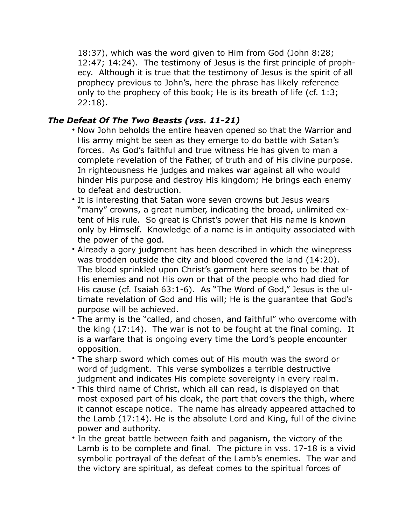18:37), which was the word given to Him from God (John 8:28; 12:47; 14:24). The testimony of Jesus is the first principle of prophecy. Although it is true that the testimony of Jesus is the spirit of all prophecy previous to John's, here the phrase has likely reference only to the prophecy of this book; He is its breath of life (cf. 1:3; 22:18).

## *The Defeat Of The Two Beasts (vss. 11-21)*

- Now John beholds the entire heaven opened so that the Warrior and His army might be seen as they emerge to do battle with Satan's forces. As God's faithful and true witness He has given to man a complete revelation of the Father, of truth and of His divine purpose. In righteousness He judges and makes war against all who would hinder His purpose and destroy His kingdom; He brings each enemy to defeat and destruction.
- It is interesting that Satan wore seven crowns but Jesus wears "many" crowns, a great number, indicating the broad, unlimited extent of His rule. So great is Christ's power that His name is known only by Himself. Knowledge of a name is in antiquity associated with the power of the god.
- Already a gory judgment has been described in which the winepress was trodden outside the city and blood covered the land (14:20). The blood sprinkled upon Christ's garment here seems to be that of His enemies and not His own or that of the people who had died for His cause (cf. Isaiah 63:1-6). As "The Word of God," Jesus is the ultimate revelation of God and His will; He is the guarantee that God's purpose will be achieved.
- The army is the "called, and chosen, and faithful" who overcome with the king (17:14). The war is not to be fought at the final coming. It is a warfare that is ongoing every time the Lord's people encounter opposition.
- The sharp sword which comes out of His mouth was the sword or word of judgment. This verse symbolizes a terrible destructive judgment and indicates His complete sovereignty in every realm.
- This third name of Christ, which all can read, is displayed on that most exposed part of his cloak, the part that covers the thigh, where it cannot escape notice. The name has already appeared attached to the Lamb (17:14). He is the absolute Lord and King, full of the divine power and authority.
- In the great battle between faith and paganism, the victory of the Lamb is to be complete and final. The picture in vss. 17-18 is a vivid symbolic portrayal of the defeat of the Lamb's enemies. The war and the victory are spiritual, as defeat comes to the spiritual forces of